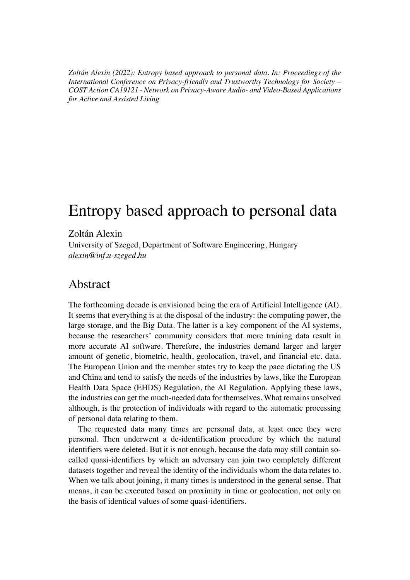*Zoltán Alexin (2022): Entropy based approach to personal data. In: Proceedings of the International Conference on Privacy-friendly and Trustworthy Technology for Society – COST Action CA19121 - Network on Privacy-Aware Audio- and Video-Based Applications for Active and Assisted Living*

# Entropy based approach to personal data

#### Zoltán Alexin

University of Szeged, Department of Software Engineering, Hungary *alexin@inf.u-szeged.hu*

## Abstract

The forthcoming decade is envisioned being the era of Artificial Intelligence (AI). It seems that everything is at the disposal of the industry: the computing power, the large storage, and the Big Data. The latter is a key component of the AI systems, because the researchers' community considers that more training data result in more accurate AI software. Therefore, the industries demand larger and larger amount of genetic, biometric, health, geolocation, travel, and financial etc. data. The European Union and the member states try to keep the pace dictating the US and China and tend to satisfy the needs of the industries by laws, like the European Health Data Space (EHDS) Regulation, the AI Regulation. Applying these laws, the industries can get the much-needed data for themselves. What remains unsolved although, is the protection of individuals with regard to the automatic processing of personal data relating to them.

The requested data many times are personal data, at least once they were personal. Then underwent a de-identification procedure by which the natural identifiers were deleted. But it is not enough, because the data may still contain socalled quasi-identifiers by which an adversary can join two completely different datasets together and reveal the identity of the individuals whom the data relates to. When we talk about joining, it many times is understood in the general sense. That means, it can be executed based on proximity in time or geolocation, not only on the basis of identical values of some quasi-identifiers.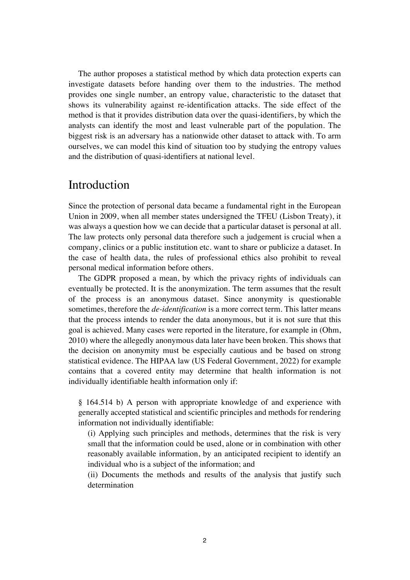The author proposes a statistical method by which data protection experts can investigate datasets before handing over them to the industries. The method provides one single number, an entropy value, characteristic to the dataset that shows its vulnerability against re-identification attacks. The side effect of the method is that it provides distribution data over the quasi-identifiers, by which the analysts can identify the most and least vulnerable part of the population. The biggest risk is an adversary has a nationwide other dataset to attack with. To arm ourselves, we can model this kind of situation too by studying the entropy values and the distribution of quasi-identifiers at national level.

## Introduction

Since the protection of personal data became a fundamental right in the European Union in 2009, when all member states undersigned the TFEU (Lisbon Treaty), it was always a question how we can decide that a particular dataset is personal at all. The law protects only personal data therefore such a judgement is crucial when a company, clinics or a public institution etc. want to share or publicize a dataset. In the case of health data, the rules of professional ethics also prohibit to reveal personal medical information before others.

The GDPR proposed a mean, by which the privacy rights of individuals can eventually be protected. It is the anonymization. The term assumes that the result of the process is an anonymous dataset. Since anonymity is questionable sometimes, therefore the *de-identification* is a more correct term. This latter means that the process intends to render the data anonymous, but it is not sure that this goal is achieved. Many cases were reported in the literature, for example in (Ohm, 2010) where the allegedly anonymous data later have been broken. This shows that the decision on anonymity must be especially cautious and be based on strong statistical evidence. The HIPAA law (US Federal Government, 2022) for example contains that a covered entity may determine that health information is not individually identifiable health information only if:

§ 164.514 b) A person with appropriate knowledge of and experience with generally accepted statistical and scientific principles and methods for rendering information not individually identifiable:

(i) Applying such principles and methods, determines that the risk is very small that the information could be used, alone or in combination with other reasonably available information, by an anticipated recipient to identify an individual who is a subject of the information; and

(ii) Documents the methods and results of the analysis that justify such determination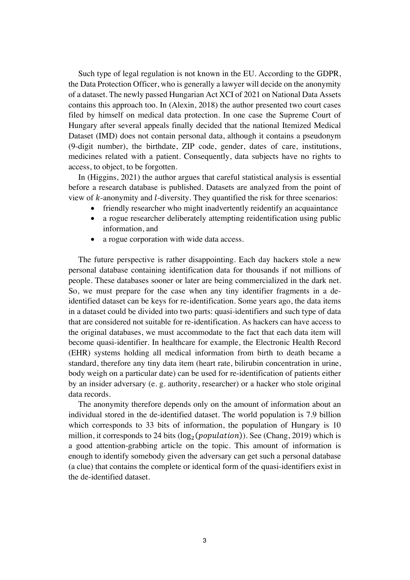Such type of legal regulation is not known in the EU. According to the GDPR, the Data Protection Officer, who is generally a lawyer will decide on the anonymity of a dataset. The newly passed Hungarian Act XCI of 2021 on National Data Assets contains this approach too. In (Alexin, 2018) the author presented two court cases filed by himself on medical data protection. In one case the Supreme Court of Hungary after several appeals finally decided that the national Itemized Medical Dataset (IMD) does not contain personal data, although it contains a pseudonym (9-digit number), the birthdate, ZIP code, gender, dates of care, institutions, medicines related with a patient. Consequently, data subjects have no rights to access, to object, to be forgotten.

In (Higgins, 2021) the author argues that careful statistical analysis is essential before a research database is published. Datasets are analyzed from the point of view of  $k$ -anonymity and  $l$ -diversity. They quantified the risk for three scenarios:

- friendly researcher who might inadvertently reidentify an acquaintance
- a rogue researcher deliberately attempting reidentification using public information, and
- a rogue corporation with wide data access.

The future perspective is rather disappointing. Each day hackers stole a new personal database containing identification data for thousands if not millions of people. These databases sooner or later are being commercialized in the dark net. So, we must prepare for the case when any tiny identifier fragments in a deidentified dataset can be keys for re-identification. Some years ago, the data items in a dataset could be divided into two parts: quasi-identifiers and such type of data that are considered not suitable for re-identification. As hackers can have access to the original databases, we must accommodate to the fact that each data item will become quasi-identifier. In healthcare for example, the Electronic Health Record (EHR) systems holding all medical information from birth to death became a standard, therefore any tiny data item (heart rate, bilirubin concentration in urine, body weigh on a particular date) can be used for re-identification of patients either by an insider adversary (e. g. authority, researcher) or a hacker who stole original data records.

The anonymity therefore depends only on the amount of information about an individual stored in the de-identified dataset. The world population is 7.9 billion which corresponds to 33 bits of information, the population of Hungary is 10 million, it corresponds to 24 bits ( $log_2(population)$ ). See (Chang, 2019) which is a good attention-grabbing article on the topic. This amount of information is enough to identify somebody given the adversary can get such a personal database (a clue) that contains the complete or identical form of the quasi-identifiers exist in the de-identified dataset.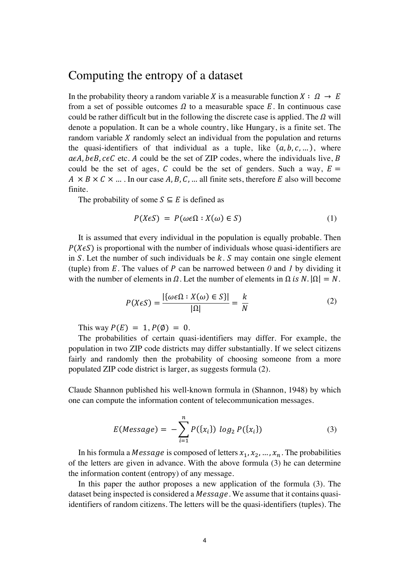## Computing the entropy of a dataset

In the probability theory a random variable *X* is a measurable function  $X : \Omega \to E$ from a set of possible outcomes  $\Omega$  to a measurable space E. In continuous case could be rather difficult but in the following the discrete case is applied. The  $\Omega$  will denote a population. It can be a whole country, like Hungary, is a finite set. The random variable  $X$  randomly select an individual from the population and returns the quasi-identifiers of that individual as a tuple, like  $(a, b, c, \dots)$ , where  $\alpha \in A$ ,  $\beta \in B$ ,  $\alpha \in C$  etc. A could be the set of ZIP codes, where the individuals live, B could be the set of ages, C could be the set of genders. Such a way,  $E =$  $A \times B \times C \times ...$ . In our case A, B, C, ... all finite sets, therefore E also will become finite.

The probability of some  $S \subseteq E$  is defined as

$$
P(X\epsilon S) = P(\omega \epsilon \Omega : X(\omega) \in S)
$$
 (1)

It is assumed that every individual in the population is equally probable. Then  $P(X \in S)$  is proportional with the number of individuals whose quasi-identifiers are in S. Let the number of such individuals be  $k$ . S may contain one single element (tuple) from  $E$ . The values of  $P$  can be narrowed between  $\theta$  and  $I$  by dividing it with the number of elements in  $\Omega$ . Let the number of elements in  $\Omega$  is  $N$ .  $|\Omega| = N$ .

$$
P(X\epsilon S) = \frac{|\{\omega \epsilon \Omega : X(\omega) \in S\}|}{|\Omega|} = \frac{k}{N}
$$
 (2)

This way  $P(E) = 1$ ,  $P(\emptyset) = 0$ .

The probabilities of certain quasi-identifiers may differ. For example, the population in two ZIP code districts may differ substantially. If we select citizens fairly and randomly then the probability of choosing someone from a more populated ZIP code district is larger, as suggests formula (2).

Claude Shannon published his well-known formula in (Shannon, 1948) by which one can compute the information content of telecommunication messages.

$$
E(Message) = -\sum_{i=1}^{n} P(\{x_i\}) log_2 P(\{x_i\})
$$
 (3)

In his formula a *Message* is composed of letters  $x_1, x_2, ..., x_n$ . The probabilities of the letters are given in advance. With the above formula (3) he can determine the information content (entropy) of any message.

In this paper the author proposes a new application of the formula (3). The dataset being inspected is considered a *Message*. We assume that it contains quasiidentifiers of random citizens. The letters will be the quasi-identifiers (tuples). The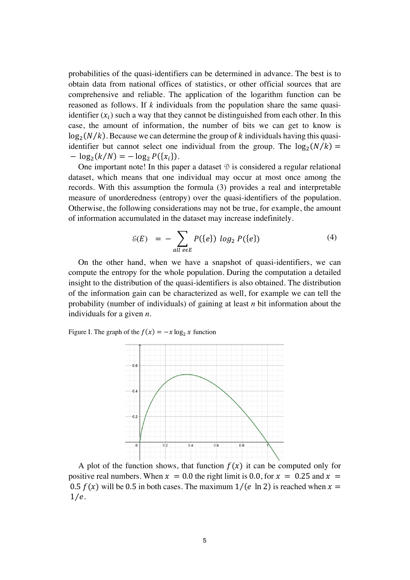probabilities of the quasi-identifiers can be determined in advance. The best is to obtain data from national offices of statistics, or other official sources that are comprehensive and reliable. The application of the logarithm function can be reasoned as follows. If *k* individuals from the population share the same quasiidentifier  $(x_i)$  such a way that they cannot be distinguished from each other. In this case, the amount of information, the number of bits we can get to know is  $\log_2(N/k)$ . Because we can determine the group of k individuals having this quasiidentifier but cannot select one individual from the group. The  $log_2(N/k)$  =  $-\log_2(k/N) = -\log_2 P(\{x_i\}).$ 

One important note! In this paper a dataset  $\mathcal{D}$  is considered a regular relational dataset, which means that one individual may occur at most once among the records. With this assumption the formula (3) provides a real and interpretable measure of unorderedness (entropy) over the quasi-identifiers of the population. Otherwise, the following considerations may not be true, for example, the amount of information accumulated in the dataset may increase indefinitely.

$$
\delta(E) = -\sum_{\text{all } e \in E} P(\{e\}) \log_2 P(\{e\}) \tag{4}
$$

On the other hand, when we have a snapshot of quasi-identifiers, we can compute the entropy for the whole population. During the computation a detailed insight to the distribution of the quasi-identifiers is also obtained. The distribution of the information gain can be characterized as well, for example we can tell the probability (number of individuals) of gaining at least *n* bit information about the individuals for a given *n*.

Figure I. The graph of the  $f(x) = -x \log_2 x$  function



A plot of the function shows, that function  $f(x)$  it can be computed only for positive real numbers. When  $x = 0.0$  the right limit is 0.0, for  $x = 0.25$  and  $x =$ 0.5  $f(x)$  will be 0.5 in both cases. The maximum  $1/(e \ln 2)$  is reached when  $x =$  $1/e.$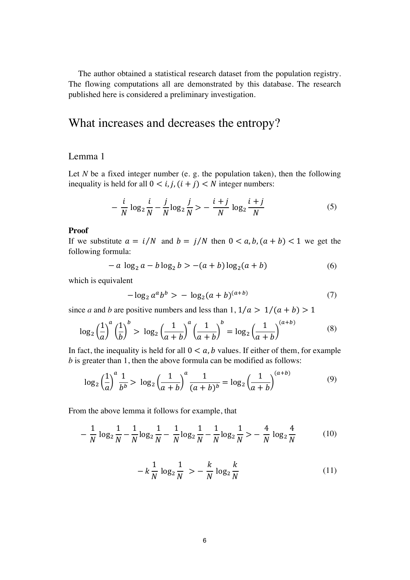The author obtained a statistical research dataset from the population registry. The flowing computations all are demonstrated by this database. The research published here is considered a preliminary investigation.

## What increases and decreases the entropy?

#### Lemma 1

Let  $N$  be a fixed integer number (e. g. the population taken), then the following inequality is held for all  $0 < i, j, (i + j) < N$  integer numbers:

$$
-\frac{i}{N}\log_2\frac{i}{N} - \frac{j}{N}\log_2\frac{j}{N} > -\frac{i+j}{N}\log_2\frac{i+j}{N}
$$
(5)

#### **Proof**

If we substitute  $a = i/N$  and  $b = j/N$  then  $0 < a, b, (a + b) < 1$  we get the following formula:

$$
- a \log_2 a - b \log_2 b > -(a+b) \log_2 (a+b)
$$
 (6)

which is equivalent

$$
-\log_2 a^a b^b > -\log_2 (a+b)^{(a+b)}
$$
 (7)

since *a* and *b* are positive numbers and less than  $1, 1/a > 1/(a + b) > 1$ 

$$
\log_2\left(\frac{1}{a}\right)^a \left(\frac{1}{b}\right)^b > \log_2\left(\frac{1}{a+b}\right)^a \left(\frac{1}{a+b}\right)^b = \log_2\left(\frac{1}{a+b}\right)^{(a+b)}
$$
(8)

In fact, the inequality is held for all  $0 < a$ , b values. If either of them, for example *b* is greater than 1, then the above formula can be modified as follows:

$$
\log_2\left(\frac{1}{a}\right)^a \frac{1}{b^b} > \log_2\left(\frac{1}{a+b}\right)^a \frac{1}{(a+b)^b} = \log_2\left(\frac{1}{a+b}\right)^{(a+b)} \tag{9}
$$

From the above lemma it follows for example, that

$$
-\frac{1}{N}\log_2\frac{1}{N} - \frac{1}{N}\log_2\frac{1}{N} - \frac{1}{N}\log_2\frac{1}{N} - \frac{1}{N}\log_2\frac{1}{N} > -\frac{4}{N}\log_2\frac{4}{N}
$$
(10)

$$
-k\frac{1}{N}\log_{2}\frac{1}{N} > -\frac{k}{N}\log_{2}\frac{k}{N}
$$
 (11)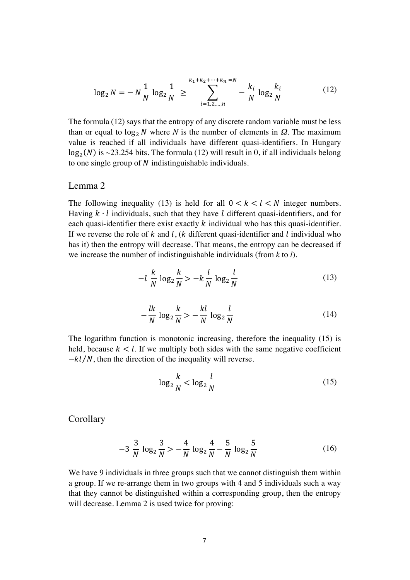$$
\log_2 N = -N\frac{1}{N}\log_2\frac{1}{N} \ge \sum_{i=1,2,\dots,n}^{k_1+k_2+\dots+k_n=N} -\frac{k_i}{N}\log_2\frac{k_i}{N}
$$
(12)

The formula (12) says that the entropy of any discrete random variable must be less than or equal to  $\log_2 N$  where *N* is the number of elements in *Ω*. The maximum value is reached if all individuals have different quasi-identifiers. In Hungary  $log_2(N)$  is ~23.254 bits. The formula (12) will result in 0, if all individuals belong to one single group of  $N$  indistinguishable individuals.

#### Lemma 2

The following inequality (13) is held for all  $0 < k < l < N$  integer numbers. Having  $k \cdot l$  individuals, such that they have l different quasi-identifiers, and for each quasi-identifier there exist exactly  $k$  individual who has this quasi-identifier. If we reverse the role of  $k$  and  $l$ ,  $(k$  different quasi-identifier and  $l$  individual who has it) then the entropy will decrease. That means, the entropy can be decreased if we increase the number of indistinguishable individuals (from *k* to *l*).

$$
-l\frac{k}{N}\log_2\frac{k}{N} > -k\frac{l}{N}\log_2\frac{l}{N} \tag{13}
$$

$$
-\frac{lk}{N}\log_2\frac{k}{N} > -\frac{kl}{N}\log_2\frac{l}{N}
$$
\n(14)

The logarithm function is monotonic increasing, therefore the inequality (15) is held, because  $k < l$ . If we multiply both sides with the same negative coefficient  $-kl/N$ , then the direction of the inequality will reverse.

$$
\log_2 \frac{k}{N} < \log_2 \frac{l}{N} \tag{15}
$$

**Corollary** 

$$
-3\frac{3}{N}\log_2\frac{3}{N} > -\frac{4}{N}\log_2\frac{4}{N} - \frac{5}{N}\log_2\frac{5}{N}
$$
 (16)

We have 9 individuals in three groups such that we cannot distinguish them within a group. If we re-arrange them in two groups with 4 and 5 individuals such a way that they cannot be distinguished within a corresponding group, then the entropy will decrease. Lemma 2 is used twice for proving: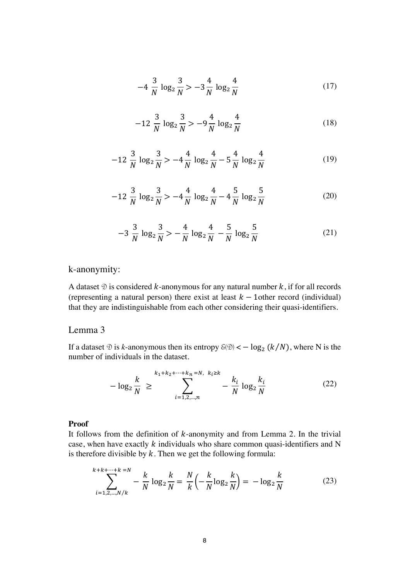$$
-4\frac{3}{N}\log_2\frac{3}{N} > -3\frac{4}{N}\log_2\frac{4}{N}
$$
 (17)

$$
-12\frac{3}{N}\log_2\frac{3}{N} > -9\frac{4}{N}\log_2\frac{4}{N}
$$
 (18)

$$
-12\frac{3}{N}\log_2\frac{3}{N} > -4\frac{4}{N}\log_2\frac{4}{N} - 5\frac{4}{N}\log_2\frac{4}{N}
$$
 (19)

$$
-12\frac{3}{N}\log_2\frac{3}{N} > -4\frac{4}{N}\log_2\frac{4}{N} - 4\frac{5}{N}\log_2\frac{5}{N}
$$
 (20)

$$
-3\frac{3}{N}\log_2\frac{3}{N} > -\frac{4}{N}\log_2\frac{4}{N} - \frac{5}{N}\log_2\frac{5}{N}
$$
 (21)

### k-anonymity:

A dataset  $\mathcal D$  is considered k-anonymous for any natural number k, if for all records (representing a natural person) there exist at least  $k - 1$ other record (individual) that they are indistinguishable from each other considering their quasi-identifiers.

#### Lemma 3

If a dataset  $\mathcal D$  is *k*-anonymous then its entropy  $\mathcal E(\mathcal D) < -\log_2 (k/N)$ , where N is the number of individuals in the dataset.

$$
-\log_2 \frac{k}{N} \ge \sum_{i=1,2,...,n}^{k_1+k_2+\cdots+k_n=N, \ k_i \ge k} -\frac{k_i}{N} \log_2 \frac{k_i}{N}
$$
 (22)

#### **Proof**

It follows from the definition of  $k$ -anonymity and from Lemma 2. In the trivial case, when have exactly  $k$  individuals who share common quasi-identifiers and N is therefore divisible by  $k$ . Then we get the following formula:

$$
\sum_{i=1,2,\dots,N/k}^{k+k+\dots+k} -\frac{k}{N} \log_2 \frac{k}{N} = \frac{N}{k} \left( -\frac{k}{N} \log_2 \frac{k}{N} \right) = -\log_2 \frac{k}{N}
$$
(23)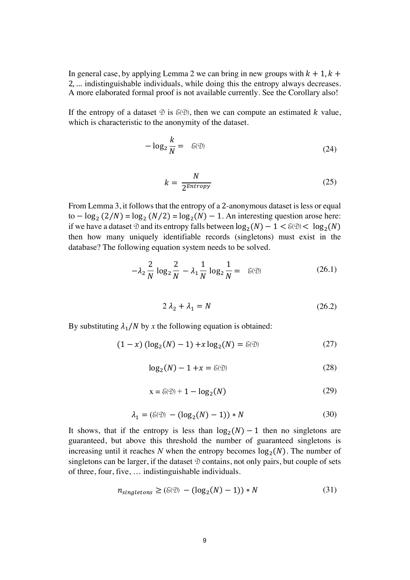In general case, by applying Lemma 2 we can bring in new groups with  $k + 1$ ,  $k +$ 2, … indistinguishable individuals, while doing this the entropy always decreases. A more elaborated formal proof is not available currently. See the Corollary also!

If the entropy of a dataset  $\mathcal{D}$  is  $\mathcal{E}(\mathcal{D})$ , then we can compute an estimated k value, which is characteristic to the anonymity of the dataset.

$$
-\log_2\frac{k}{N} = \delta(\mathfrak{D})\tag{24}
$$

$$
k = \frac{N}{2^{Entropy}}
$$
 (25)

From Lemma 3, it follows that the entropy of a 2-anonymous dataset is less or equal to  $-\log_2(2/N) = \log_2(N/2) = \log_2(N) - 1$ . An interesting question arose here: if we have a dataset  $\mathcal D$  and its entropy falls between  $\log_2(N) - 1 < \delta(\mathcal D) < \log_2(N)$ then how many uniquely identifiable records (singletons) must exist in the database? The following equation system needs to be solved.

$$
-\lambda_2 \frac{2}{N} \log_2 \frac{2}{N} - \lambda_1 \frac{1}{N} \log_2 \frac{1}{N} = \mathcal{E}(\mathcal{D})
$$
 (26.1)

$$
2\lambda_2 + \lambda_1 = N \tag{26.2}
$$

By substituting  $\lambda_1/N$  by x the following equation is obtained:

$$
(1 - x) (\log_2(N) - 1) + x \log_2(N) = \delta(\mathfrak{D})
$$
 (27)

$$
\log_2(N) - 1 + x = \mathcal{E}(\mathfrak{D})\tag{28}
$$

$$
x = \mathcal{E}(\mathcal{D}) + 1 - \log_2(N) \tag{29}
$$

$$
\lambda_1 = (\delta(\mathfrak{D}) - (\log_2(N) - 1)) * N \tag{30}
$$

It shows, that if the entropy is less than  $log_2(N) - 1$  then no singletons are guaranteed, but above this threshold the number of guaranteed singletons is increasing until it reaches N when the entropy becomes  $log_2(N)$ . The number of singletons can be larger, if the dataset  $\mathcal D$  contains, not only pairs, but couple of sets of three, four, five, … indistinguishable individuals.

$$
n_{singletons} \ge (\delta(\mathfrak{D}) - (\log_2(N) - 1)) * N \tag{31}
$$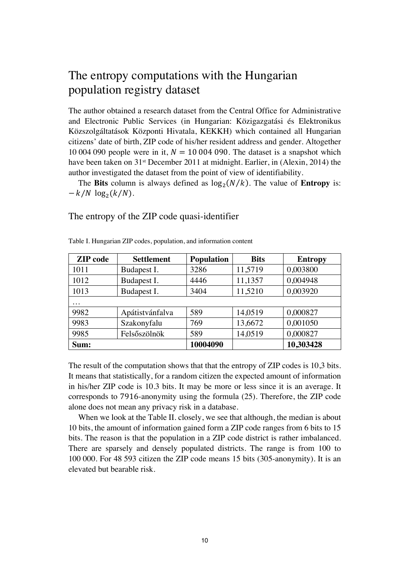## The entropy computations with the Hungarian population registry dataset

The author obtained a research dataset from the Central Office for Administrative and Electronic Public Services (in Hungarian: Közigazgatási és Elektronikus Közszolgáltatások Központi Hivatala, KEKKH) which contained all Hungarian citizens' date of birth, ZIP code of his/her resident address and gender. Altogether 10 004 090 people were in it,  $N = 10004090$ . The dataset is a snapshot which have been taken on 31<sup>st</sup> December 2011 at midnight. Earlier, in (Alexin, 2014) the author investigated the dataset from the point of view of identifiability.

The **Bits** column is always defined as  $\log_2(N/k)$ . The value of **Entropy** is:  $-k/N \log_2(k/N)$ .

The entropy of the ZIP code quasi-identifier

| <b>ZIP</b> code | <b>Settlement</b> | <b>Population</b> | <b>Bits</b> | <b>Entropy</b> |
|-----------------|-------------------|-------------------|-------------|----------------|
| 1011            | Budapest I.       | 3286              | 11,5719     | 0,003800       |
| 1012            | Budapest I.       | 4446              | 11,1357     | 0,004948       |
| 1013            | Budapest I.       | 3404              | 11,5210     | 0,003920       |
| .               |                   |                   |             |                |
| 9982            | Apátistvánfalva   | 589               | 14,0519     | 0,000827       |
| 9983            | Szakonyfalu       | 769               | 13,6672     | 0,001050       |
| 9985            | Felsőszölnök      | 589               | 14,0519     | 0,000827       |
| Sum:            |                   | 10004090          |             | 10,303428      |

Table I. Hungarian ZIP codes, population, and information content

The result of the computation shows that that the entropy of ZIP codes is 10,3 bits. It means that statistically, for a random citizen the expected amount of information in his/her ZIP code is 10.3 bits. It may be more or less since it is an average. It corresponds to 7916-anonymity using the formula (25). Therefore, the ZIP code alone does not mean any privacy risk in a database.

When we look at the Table II. closely, we see that although, the median is about 10 bits, the amount of information gained form a ZIP code ranges from 6 bits to 15 bits. The reason is that the population in a ZIP code district is rather imbalanced. There are sparsely and densely populated districts. The range is from 100 to 100 000. For 48 593 citizen the ZIP code means 15 bits (305-anonymity). It is an elevated but bearable risk.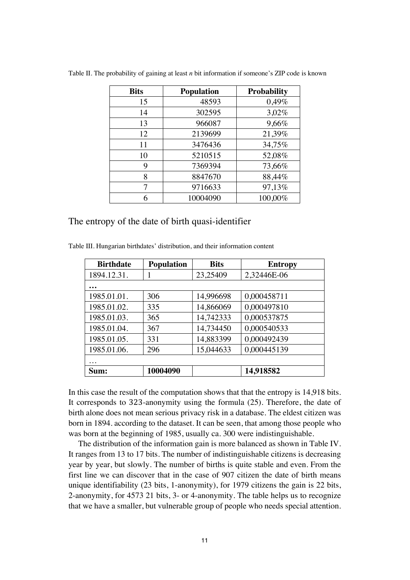| <b>Bits</b> | <b>Population</b> | <b>Probability</b> |
|-------------|-------------------|--------------------|
| 15          | 48593             | 0,49%              |
| 14          | 302595            | 3,02%              |
| 13          | 966087            | 9,66%              |
| 12          | 2139699           | 21,39%             |
| 11          | 3476436           | 34,75%             |
| 10          | 5210515           | 52,08%             |
| 9           | 7369394           | 73,66%             |
| 8           | 8847670           | 88,44%             |
| 7           | 9716633           | 97,13%             |
| 6           | 10004090          | 100,00%            |

Table II. The probability of gaining at least *n* bit information if someone's ZIP code is known

The entropy of the date of birth quasi-identifier

| <b>Birthdate</b> | <b>Population</b> | <b>Bits</b> | <b>Entropy</b> |
|------------------|-------------------|-------------|----------------|
| 1894.12.31.      |                   | 23,25409    | 2,32446E-06    |
|                  |                   |             |                |
| 1985.01.01.      | 306               | 14,996698   | 0,000458711    |
| 1985.01.02.      | 335               | 14,866069   | 0,000497810    |
| 1985.01.03.      | 365               | 14,742333   | 0,000537875    |
| 1985.01.04.      | 367               | 14,734450   | 0,000540533    |
| 1985.01.05.      | 331               | 14,883399   | 0,000492439    |
| 1985.01.06.      | 296               | 15,044633   | 0,000445139    |
| .                |                   |             |                |
| Sum:             | 10004090          |             | 14,918582      |

Table III. Hungarian birthdates' distribution, and their information content

In this case the result of the computation shows that that the entropy is 14,918 bits. It corresponds to 323-anonymity using the formula (25). Therefore, the date of birth alone does not mean serious privacy risk in a database. The eldest citizen was born in 1894. according to the dataset. It can be seen, that among those people who was born at the beginning of 1985, usually ca. 300 were indistinguishable.

The distribution of the information gain is more balanced as shown in Table IV. It ranges from 13 to 17 bits. The number of indistinguishable citizens is decreasing year by year, but slowly. The number of births is quite stable and even. From the first line we can discover that in the case of 907 citizen the date of birth means unique identifiability (23 bits, 1-anonymity), for 1979 citizens the gain is 22 bits, 2-anonymity, for 4573 21 bits, 3- or 4-anonymity. The table helps us to recognize that we have a smaller, but vulnerable group of people who needs special attention.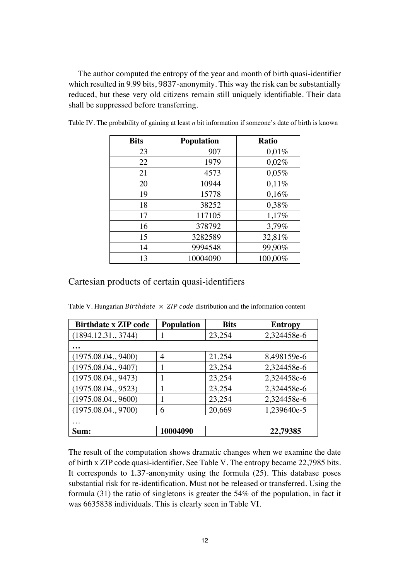The author computed the entropy of the year and month of birth quasi-identifier which resulted in 9.99 bits, 9837-anonymity. This way the risk can be substantially reduced, but these very old citizens remain still uniquely identifiable. Their data shall be suppressed before transferring.

| <b>Bits</b> | <b>Population</b> | <b>Ratio</b> |
|-------------|-------------------|--------------|
| 23          | 907               | 0,01%        |
| 22          | 1979              | 0,02%        |
| 21          | 4573              | 0,05%        |
| 20          | 10944             | 0,11%        |
| 19          | 15778             | 0,16%        |
| 18          | 38252             | 0,38%        |
| 17          | 117105            | 1,17%        |
| 16          | 378792            | 3,79%        |
| 15          | 3282589           | 32,81%       |
| 14          | 9994548           | 99,90%       |
| 13          | 10004090          | 100,00%      |

Table IV. The probability of gaining at least *n* bit information if someone's date of birth is known

### Cartesian products of certain quasi-identifiers

Table V. Hungarian *Birthdate*  $\times$  *ZIP code* distribution and the information content

| <b>Birthdate x ZIP code</b> | <b>Population</b> | <b>Bits</b> | <b>Entropy</b> |
|-----------------------------|-------------------|-------------|----------------|
| (1894.12.31., 3744)         |                   | 23,254      | 2,324458e-6    |
|                             |                   |             |                |
| (1975.08.04., 9400)         | 4                 | 21,254      | 8,498159e-6    |
| (1975.08.04., 9407)         |                   | 23,254      | 2,324458e-6    |
| (1975.08.04., 9473)         |                   | 23,254      | 2,324458e-6    |
| (1975.08.04., 9523)         |                   | 23,254      | 2,324458e-6    |
| (1975.08.04., 9600)         |                   | 23,254      | 2,324458e-6    |
| (1975.08.04., 9700)         | 6                 | 20,669      | 1,239640e-5    |
|                             |                   |             |                |
| Sum:                        | 10004090          |             | 22,79385       |

The result of the computation shows dramatic changes when we examine the date of birth x ZIP code quasi-identifier. See Table V. The entropy became 22,7985 bits. It corresponds to 1.37-anonymity using the formula (25). This database poses substantial risk for re-identification. Must not be released or transferred. Using the formula (31) the ratio of singletons is greater the 54% of the population, in fact it was 6635838 individuals. This is clearly seen in Table VI.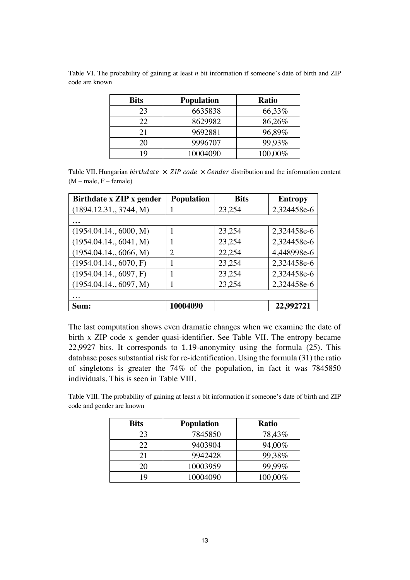| <b>Bits</b> | <b>Population</b> | <b>Ratio</b> |
|-------------|-------------------|--------------|
| 23          | 6635838           | 66,33%       |
| 22          | 8629982           | 86,26%       |
| 21          | 9692881           | 96,89%       |
| 20          | 9996707           | 99,93%       |
| 19          | 10004090          | 100,00%      |

Table VI. The probability of gaining at least *n* bit information if someone's date of birth and ZIP code are known

Table VII. Hungarian birthdate  $\times$  ZIP code  $\times$  Gender distribution and the information content  $(M - male, F - female)$ 

| Birthdate x ZIP x gender | <b>Population</b> | <b>Bits</b> | <b>Entropy</b> |
|--------------------------|-------------------|-------------|----------------|
| (1894.12.31., 3744, M)   |                   | 23,254      | 2,324458e-6    |
|                          |                   |             |                |
| (1954.04.14., 6000, M)   |                   | 23,254      | 2,324458e-6    |
| (1954.04.14., 6041, M)   |                   | 23,254      | 2,324458e-6    |
| (1954.04.14., 6066, M)   | 2                 | 22,254      | 4,448998e-6    |
| (1954.04.14., 6070, F)   |                   | 23,254      | 2,324458e-6    |
| (1954.04.14., 6097, F)   |                   | 23,254      | 2,324458e-6    |
| (1954.04.14., 6097, M)   |                   | 23,254      | 2,324458e-6    |
| $\cdots$                 |                   |             |                |
| Sum:                     | 10004090          |             | 22,992721      |

The last computation shows even dramatic changes when we examine the date of birth x ZIP code x gender quasi-identifier. See Table VII. The entropy became 22,9927 bits. It corresponds to 1.19-anonymity using the formula (25). This database poses substantial risk for re-identification. Using the formula (31) the ratio of singletons is greater the 74% of the population, in fact it was 7845850 individuals. This is seen in Table VIII.

Table VIII. The probability of gaining at least *n* bit information if someone's date of birth and ZIP code and gender are known

| <b>Bits</b> | <b>Population</b> | Ratio   |
|-------------|-------------------|---------|
| 23          | 7845850           | 78,43%  |
| 22          | 9403904           | 94,00%  |
| 21          | 9942428           | 99,38%  |
| 20          | 10003959          | 99,99%  |
| 19          | 10004090          | 100,00% |